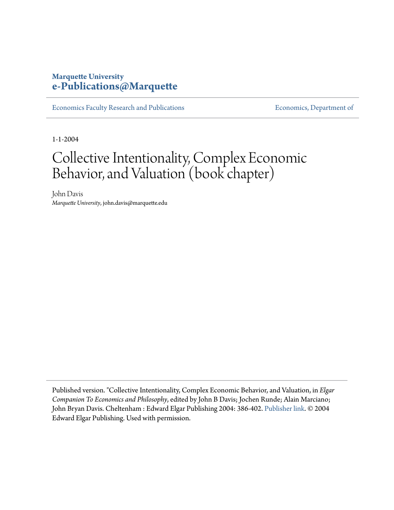## **Marquette University [e-Publications@Marquette](https://epublications.marquette.edu)**

[Economics Faculty Research and Publications](https://epublications.marquette.edu/econ_fac) **Economics**, Department of

1-1-2004

# Collective Intentionality, Complex Economic Behavior, and Valuation (book chapter)

John Davis *Marquette University*, john.davis@marquette.edu

Published version. "Collective Intentionality, Complex Economic Behavior, and Valuation, in *Elgar Companion To Economics and Philosophy*, edited by John B Davis; Jochen Runde; Alain Marciano; John Bryan Davis. Cheltenham : Edward Elgar Publishing 2004: 386-402. [Publisher link](https://www.e-elgar.com/shop/the-elgar-companion-to-economics-and-philosophy). © 2004 Edward Elgar Publishing. Used with permission.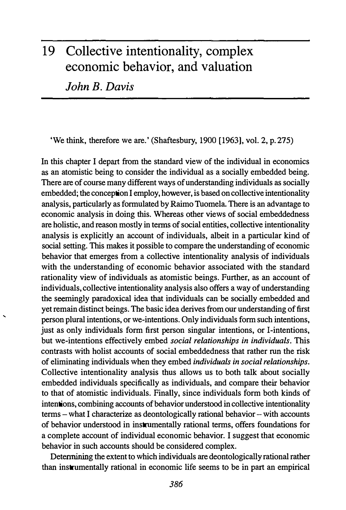# 19 Collective intentionality, complex economic behavior, and valuation

### *John B. Davis*

'We think, therefore we are.' (Shaftesbury, 1900 [1963], vol. 2, p. 275)

In this chapter I depart from the standard view of the individual in economics as an atomistic being to consider the individual as a socially embedded being. There are of course many different ways of understanding individuals as socially embedded; the conception I employ, however, is based on collective intentionality analysis, particularly as formulated by Raimo Tuomela. There is an advantage to economic analysis in doing this. Whereas other views of social embeddedness are holistic, and reason mostly in terms of social entities, collective intentionality analysis is explicitly an account of individuals, albeit in a particular kind of social setting. This makes it possible to compare the understanding of economic behavior that emerges from a collective intentionality analysis of individuals with the understanding of economic behavior associated with the standard rationality view of individuals as atomistic beings. Further, as an account of individuals, collective intentionality analysis also offers a way of understanding the seemingly paradoxical idea that individuals can be socially embedded and yet remain distinct beings. The basic idea derives from our understanding of first person plural intentions, or we-intentions. Only individuals form such intentions, just as only individuals form first person singular intentions, or I-intentions, but we-intentions effectively embed *social relationships in individuals.* This contrasts with holist accounts of social embeddedness that rather run the risk of eliminating individuals when they embed *individuals in social relationships.*  Collective intentionality analysis thus allows us to both talk about socially embedded individuals specifically as individuals, and compare their behavior to that of atomistic individuals. Finally, since individuals form both kinds of intentions, combining accounts of behavior understood in collective intentionality  $terms - what I characterize as deontologically rational behavior - with accounts$ of behavior understood in instrumentally rational terms, offers foundations for a complete account of individual economic behavior. I suggest that economic behavior in such accounts should be considered complex.

Determining the extent to which individuals are deontologically rational rather than instrumentally rational in economic life seems to be in part an empirical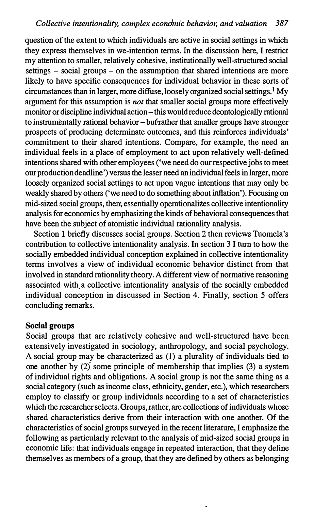question of the extent to which individuals are active in social settings in which they express themselves in we-intention terms. In the discussion here, I restrict my attention to smaller, relatively cohesive, institutionally well-structured social settings – social groups – on the assumption that shared intentions are more likely to have specific consequences for individual behavior in these sorts of circumstances than in larger, more diffuse, loosely organized social settings.<sup>1</sup> My argument for this assumption is *not* that smaller social groups more effectively monitor or discipline individual action - this would reduce deontologically rational to instrumentally rational behavior – but rather that smaller groups have stronger prospects of producing determinate outcomes, and this reinforces individuals' commitment to their shared intentions. Compare, for example, the need an individual feels in a place of employment to act upon relatively well-defined intentions shared with other employees ('we need do our respective jobs to meet our production deadline') versus the lesser need an individual feels in larger, more loosely organized social settings to act upon vague intentions that may only be weakly shared by others ('we need to do something about inflation'). Focusing on mid-sized social groups, then, essentially operationalizes collective intentionality analysis for economics by emphasizing the kinds of behavioral consequences that have been the subject of atomistic individual rationality analysis.

Section 1 briefly discusses social groups. Section 2 then reviews Tuomela's contribution to collective intentionality analysis. In section 3 I turn to how the socially embedded individual conception explained in collective intentionality terms involves a view of individual economic behavior distinct from that involved in standard rationality theory. A different view of normative reasoning associated with. a collective intentionality analysis of the socially embedded individual conception in discussed in Section 4. Finally, section 5 offers concluding remarks.

#### **Social groups**

Social groups that are relatively cohesive and well-structured have been extensively investigated in sociology, anthropology, and social psychology. A social group may be characterized as (1) a plurality of individuals tied to one another by  $(2)$  some principle of membership that implies (3) a system of individual rights and obligations. A social group is not the same thing as a social category (such as income class, ethnicity, gender, etc.), which researchers employ to classify or group individuals according to a set of characteristics which the researcher selects. Groups, rather, are collections of individuals whose shared characteristics derive from their interaction with one another. Of the characteristics of social groups surveyed in the recent literature, I emphasize the following as particularly relevant to the analysis of mid-sized social groups in economic life: that individuals engage in repeated interaction, that they define themselves as members of a group, that they are defined by others as belonging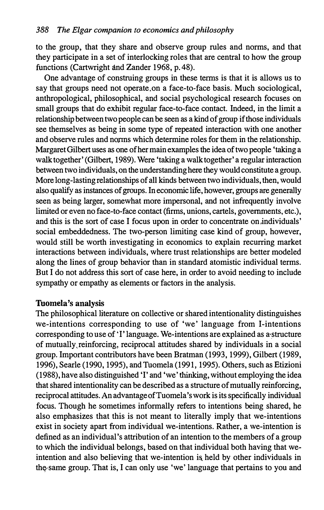to the group, that they share and observe group rules and norms, and that they participate in a set of interlocking roles that are central to how the group functions (Cartwright and Zander 1968, p.48).

One advantage of construing groups in these terms is that it is allows us to say that groups need not operate on a face-to-face basis. Much sociological, anthropological, philosophical, and social psychological research focuses on small groups that do exhibit regular face-to-face contact. Indeed, in the limit a relationship between two people can be seen as a kind of group if those individuals see themselves as being in some type of repeated interaction with one another and observe rules and norms which determine roles for them in the relationship. Margaret Gilbert uses as one of her main examples the idea of two people 'taking a walk together' (Gilbert, 1989). Were 'taking a walk together' a regular interaction between two individuals, on the understanding here they would constitute a group. More long-lasting relationships of all kinds between two individuals, then, would also qualify as instances of groups. In economic life, however, groups are generally seen as being larger, somewhat more impersonal, and not infrequently involve limited or even no face-to-face contact (firms, unions, cartels, governments, etc.), and this is the sort of case I focus upon in order to concentrate on,individuals' social embeddedness. The two-person limiting case kind of group, however, would still be worth investigating in economics to explain recurring market interactions between individuals, where trust relationships are better modeled along the lines of group behavior than in standard atomistic individual terms. But I do not address this sort of case here, in order to avoid needing to include sympathy or empathy as elements or factors in the analysis.

#### **Toomela's analysis**

The philosophical literature on collective or shared intentionality distinguishes we-intentions corresponding to use of 'we' language from I-intentions corresponding to use of 'I' language. We-intentions are explained as a structure of mutually.reinforcing, reciprocal attitudes shared by individuals in a social group. Important contributors have been Bratman (1993, 1999), Gilbert (1989, 1996), Searle (1990, 1995), and Tuomela (1991, 1995). Others, such as Etizioni (1988), have also distinguished 'I' and 'we' thinking, without employing the idea that shared intentionality can be described as a structure of mutually reinforcing, reciprocal attitudes. An advantage of Tuomela's work is its specifically individual focus. Though he sometimes informally refers to intentions being shared, he also emphasizes that this is not meant to literally imply that we-intentions exist in society apart from individual we-intentions. Rather, a we-intention is defined as an individual's attribution of an intention to the members of a group to which the individual belongs, based on that individual both having that weintention and also believing that we-intention is. held by other individuals in the-same group. That is, I can only use 'we' language that pertains to you and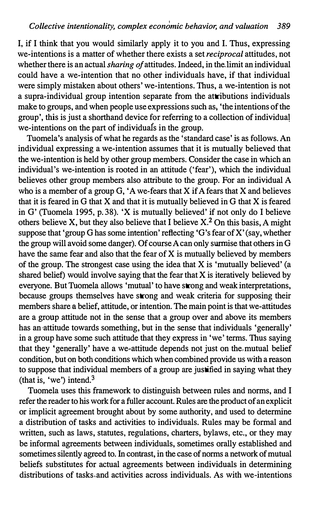I, if I think that you would similarly apply it to you and I. Thus, expressing we-intentions is a matter of whether there exists a set *reciprocal* attitudes, not whether there is an actual *sharing of* attitudes. Indeed, in the limit an individual could have a we-intention that no other individuals have, if that individual were simply mistaken about others' we-intentions. Thus, a we-intention is not a supra-individual group intention separate from the attributions individuals make to groups, and when people use expressions such as, 'the intentions of the group', this is just a shorthand device for referring to a collection of individua� we-intentions on the part of individuafs in the group.

Tuomela's analysis of what he regards as the 'standard case' is as follows. An individual expressing a we-intention assumes that it is mutually believed that the we-intention is held by other group members. Consider the case in which an individual's we-intention is rooted in an attitude ('fear'), which the individual believes other group members also attribute to the group. For an individual A who is a member of a group G, 'A we-fears that X if A fears that X and believes that it is feared in G that X and that it is mutually believed in G that X is feared in G' (Tuomela 1995, p. 38). 'X is mutually believed' if not only do I believe others believe X, but they also believe that I believe  $X<sup>2</sup>$  On this basis, A might suppose that 'group G has some intention' reflecting 'G's fear of X' (say, whether the group will avoid some danger). Of course A can only surmise that others in G have the same fear and also that the fear of X is mutually believed by members of the group. The strongest case using the idea that X is 'mutually believed' (a shared belief) would involve saying that the fear that X is iteratively believed by everyone. But Tuomela allows 'mutual' to have strong and weak interpretations, because groups themselves have strong and weak criteria for supposing their members share a belief, attitude, or intention. The main point is that we-attitudes are a group attitude not in the sense that a group over and above its members has an attitude towards something, but in the sense that individuals 'generally' in a group have some such attitude that they express in 'we' terms. Thus saying that they 'generally' have a we-attitude depends not just on the,mutual belief condition, but on both conditions which when combined provide us with a reason to suppose that individual members of a group are justified in saying what they (that is, 'we') intend. $3$ 

Tuomela uses this framework to distinguish between rules and norms, and I refer the reader to his work for a fuller account. Rules are the product of an explicit or implicit agreement brought about by some authority, and used to determine a distribution of tasks and activities to individuals. Rules may be formal and written, such as laws, statutes, regulations, charters, bylaws, etc., or they may be informal agreements between individuals, sometimes orally established and sometimes silently agreed to. In contrast, in the case of norms a network of mutual beliefs substitutes for actual agreements between individuals in determining distributions of tasks,and activities across individuals. As with we-intentions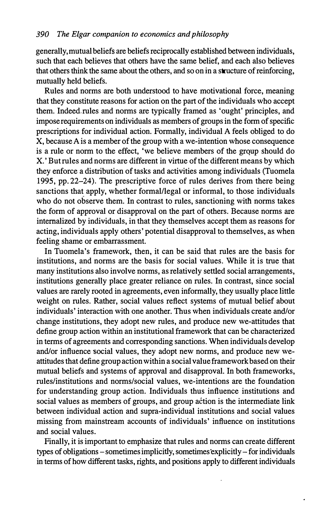generally, mutual beliefs are beliefs reciprocally established between individuals, such that each believes that others have the same belief, and each also believes that others think the same about the others, and so on in a structure of reinforcing, mutually held beliefs.

Rules and norms are both understood to have motivational force, meaning that they constitute reasons for action on the part of the individuals who accept them. Indeed,rules and norms are typically framed as 'ought' principles, and impose requirements on individuals as members of groups in the form of specific prescriptions for individual action. Formally, individual A feels obliged to do X, because A is a member of the group with a we-intention whose consequence is a rule or norm to the effect, 'we believe members of the group should do X.' But rules and norms are different in virtue of the different means by which they enforce a distribution of tasks and activities among individuals (Tuomela 1995, pp. **22-24).** The prescriptive force of rules derives from there being sanctions that apply, whether formal/legal or informal, to those individuals who do not observe them. In contrast to rules, sanctioning with norms takes the form of approval or disapproval on the part of others. Because norms are internalized by individuals, in that they themselves accept them as reasons for acting, individuals apply others' potential disapproval to themselves, as when feeling shame or embarrassment.

In Tuomela's framework, then, it can be said that rules are the basis for institutions, and norms are the basis for social values. While it is true that many institutions also involve norms, as relatively settled social arrangements, institutions generally place greater reliance on rules. In contrast, since social values are rarely rooted in agreements, even informally, they usually place little weight on rules. Rather, social values reflect systems of mutual belief about individuals' interaction with one another. Thus when individuals create and/or change institutions, they adopt new rules, and produce new we-attitudes that define group action within an institutional framework that can be characterized in terms of agreements and corresponding sanctions. When individuals develop and/or influence social values, they adopt new norms, and produce new weattitudes that define group action within a social value framework based on their mutual beliefs and systems of approval and disapproval. In both frameworks, rules/institutions and norms/social values, we-intentions are the foundation for understanding group action. Individuals thus influence institutions and social values as members of groups, and group action is the intermediate link between individual action and supra-individual institutions and social values missing from mainstream accounts of individuals' influence on institutions and social values.

Finally, it is important to emphasize that rules and norms can create different types of obligations – sometimes implicitly, sometimes explicitly – for individuals in terms of how different tasks, rights, and positions apply to different individuals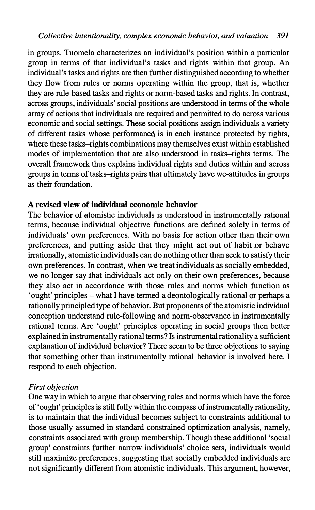in groups. Tuomela characterizes an individual's position within a particular group in terms of that individual's tasks and rights within that group. An individual's tasks and rights are then further distinguished according to whether they flow from rules or norms operating within the group, that is, whether they are rule-based tasks and rights or norm-based tasks and rights. In contrast, across groups, individuals' social positions are understood in terms of the whole array of actions that individuals are required and permitted to do across various economic and social settings. These social positions assign individuals a variety of different tasks whose performance is in each instance protected by rights, where these tasks-rights combinations may themselves exist within established modes of implementation that are also understood in tasks-rights terms. The overall framework thus explains individual rights and duties within and across groups in terms of tasks-rights pairs that ultimately have we-attitudes in groups as their foundation.

#### **A revised view of individual economic behavior**

The behavior of atomistic individuals is understood in instrumentally rational terms, because individual objective functions are defined solely in terms of individuals' own preferences. With no basis for action other than their own preferences, and putting aside that they might act out of habit or behave irrationally, atomistic individuals can do nothing other than seek to satisfy their own preferences. In contrast, when we treat individuals as socially embedded, we no longer say that individuals act only on their own preferences, because they also act in accordance with those rules and norms which function as 'ought' principles-what I have termed a deontologically rational or perhaps a rationally principled type of behavior. But proponents of the atomistic individual conception understand rule-following and norm-observance in instrumentally rational terms. Are 'ought' principles operating in social groups then better explained in instrumentally rational terms? Is instrumental rationality a sufficient explanation of individual behavior? There seem to be three objections to saying that something other than instrumentally rational behavior is involved here. I respond to each objection.

#### *First objection*

One way in which to argue that observing rules and norms which have the force of 'ought' principles is still fully within the compass of instrumentally rationality, is to maintain that the individual becomes subject to constraints additional to those usually assumed in standard constrained optimization analysis, namely, constraints associated with group membership. Though these additional 'social group? constraints further narrow.individuals' choice sets, individuals would still maximize preferences, suggesting that socially embedded individuals are not significantly different from atomistic individuals. This argument, however,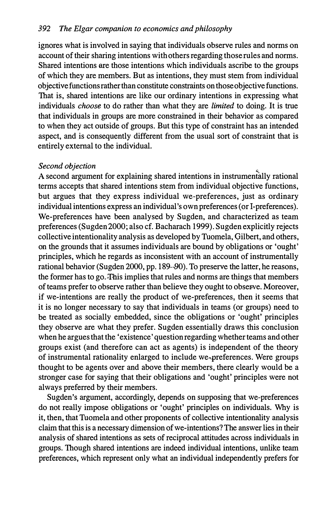#### *392 The Elgar companion to economics and philosophy*

ignores what is involved in saying that individuals observe rules and norms on account of their sharing intentions with others regarding those rules and norms. Shared intentions are those intentions which individuals ascribe to the groups of which they are members. But as intentions, they must stem from individual objective functions rather than constitute constraints on those objective functions. That is, shared intentions are like our ordinary intentions in expressing what individuals *choose* to do rather than what they are *limited* to doing. It is true that individuals in groups are more constrained in their behavior as compared to when they act outside of groups. But this type of constraint has an intended aspect, and is consequently different from the usual sort of constraint that is entirely external to the individual.

#### *Second objection*

A second argument for explaining shared intentions in instrumentally rational terms accepts that shared intentions stem from individual objective functions, but argues that they express individual we-preferences, just as ordinary individual intentions express an individual's own preferences (or I-preferences). We-preferences have been analysed by Sugden, and characterized as team preferences (Sugden 2000; also cf. Bacharach 1999). Sugden explicitly rejects collective intentionality analysis as developed by Tuomela, Gilbert, and others, on the grounds that it assumes individuals are bound by obligations or 'ought' principles, which he regards as inconsistent with an account of instrumentally rational behavior (Sugden 2000, pp.189-90). To preserve the latter, he reasons, the former has to go. This implies that rules and norms are things that members of teams prefer to observe rather than believe they ought to obsewe. Moreover, if we-intentions are really the product of we-preferences, then it seems that it is no longer necessary to say that individuals in teams (or groups) need to be treated as socially embedded, since the obligations or 'ought' principles they observe are what they prefer. Sugden essentially draws this conclusion when he argues that the 'existence' question regarding whether teams and other groups exist (and therefore can act as agents) is independent of the theory of instrumental rationality enlarged to include we�.preferences. Were groups thought to be agents over and above their members, there clearly would be a stronger case for saying that their obligations and 'ought' principles were not always preferred by their members.

Sugden's argument, accordingly, depends on supposing that we-preferences do not really impose obligations or 'ought' principles on individuals. Why is it, then, that Tuomela and other proponents of collective intentionality analysis claim that this is a necessary dimension of we-intentions? The answer lies in their analysis of shared intentions as sets of reciprocal attitudes across individuals in groups. Though shared intentions are indeed individual intentions, unlike team preferences, which represent only what an individual independently prefers for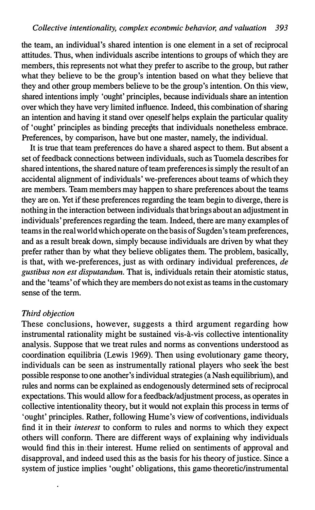the team, an individual's shared intention is one element in a set of reciprocal attitudes. Thus, when individuals ascribe intentions to groups of which they are members, this represents not what they prefer to ascribe to the group, but rather what they believe to be the group's intention based on what they believe that they and other group members believe to be the group's intention. On this view, shared intentions imply 'ought' principles, because individuals share an intention over which they have very limited influence. Indeed, this combination of sharing an intention and having it stand over opeselfhelps explain the particular quality of 'ought' principles as binding precepts that individuals nonetheless embrace. Preferences, by comparison, have but one master, namely, the individual.

It is true that team preferences do have a shared aspect to them. But absent a set of feedback connections between individuals, such as Tuomela describes for shared intentions, the shared nature of team preferences is simply the result of an accidental alignment of individuals' we-preferences about teams of which they are members. Team members may happen to share preferences about the teams they are on. Yet if these preferences regarding the team begin to diverge, there is nothing in the interaction between individuals that brings about an adjustment in individuals' preferences regarding the team. Indeed, there are many examples of teams in the real world which operate on the basis of Sugden's team preferences, and as a result break down, simply because individuals are driven by what they prefer rather than by what they believe obligates them. The problem, basically, is that, with we-preferences, just as with ordinary individual preferences, *de gustibus non est disputandum.* That is, individuals retain their atomistic status, and the 'teams' of which they are members do not exist as teams in the customary sense of the term.

#### *Third objection*

These conclusions, however, suggests a third argument regarding how instrumental rationality might be sustained vis-a-vis collective intentionality analysis. Suppose that we treat rules and norms as conventions understood as coordination equilibria (Lewis 1969). Then using evolutionary game theory, individuals can be seen as instrumentally rational players who seek the best possible response to one another's individual strategies (a Nash equilibrium), and rules and norms can be explained as endogenously determined sets of reciprocal expectations. This would allow for a feedback/adjustment process, as operates in collective intentionality theory, but it would not explain this process in terms of 'ought' principles. Rather, following Hume's view of conventions, individuals find it in their *interest* to conform to rules and norms to which they expect others will conform. There are different ways of explaining why individuals would find this in their interest. Hume relied on sentiments of approval and disapproval, and indeed used this as the basis for his theory of justice. Since a system of justice implies 'ought' obligations, this game theoretic/instrumental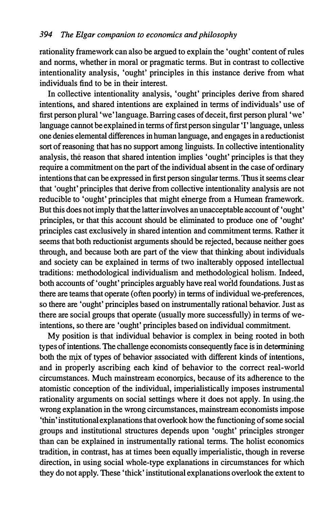rationality framework can also be argued to explain the 'ought' content of rules and norms, whether in moral or pragmatic terms. But in contrast to collective intentionality analysis, 'ought' principles in this instance derive from what individuals find to be in their interest.

In collective intentionality analysis, 'ought' principles derive from shared intentions, and shared intentions are explained in terms of individuals' use of first person plural 'we' language. Barring cases of deceit, first person plural 'we' language cannot be explained in terms of first person singular 'I' language, unless one denies elemental differences in human language, and engages in a reductionist sort of reasoning that has no support among linguists. In collective intentionality analysis, the reason that shared intention implies 'ought' principles is that they require a commitment on the part of the individual absent in the case of ordinary intentions that can be expressed in first person singular terms. Thus it seems clear that 'ought' principles that derive from collective intentionality analysis are not reducible to 'ought' principles that might einerge from a Humean framework. But this does not imply that the latter involves an unacceptable account of 'ought' principles, or that this account should be eliminated to produce one of 'ought' principles cast exclusively in shared intention and commitment terms. Rather it seems that both reductionist arguments should be rejected, because neither goes through, and because both are part of the view that thinking about individuals and society can be explained in terms of two inalterably opposed intellectual traditions: methodological individualism and methodological holism. Indeed, both accounts of 'ought' principles arguably have real world foundations. Just as there are teams that operate ( often poorly) in terms of individual we-preferences, so there are 'ought' principles based on instrumentally rational behavior. Just as there are social groups that operate (usually more successfully) in terms of weintentions, so there are 'ought' principles based on individual commitment.

My position is that individual behavior is complex in being rooted in both types of intentions. The challenge economists consequently face is in determining both the mix of types of behavior associated with different kinds of intentions, and in properly ascribing each kind of behavior to the correct real-world circumstances. Much mainstream economics, because of its adherence to the atomistic conception of the individual, imperialistically imposes instrumental rationality arguments on social settings where it does not apply. In using,the wrong explanation in the wrong circumstances, mainstream economists impose 'thin' institutional explanations that overlook how the functioning of some social groups and institutional structures depends upon 'ought' princigles stronger than can be explained in instrumentally rational terms. The holist economics tradition, in contrast, has at times been equally imperialistic, though in reverse direction, in using social whole-type explanations in circumstances for which they do not apply. These 'thick' institutional explanations overlook the extent to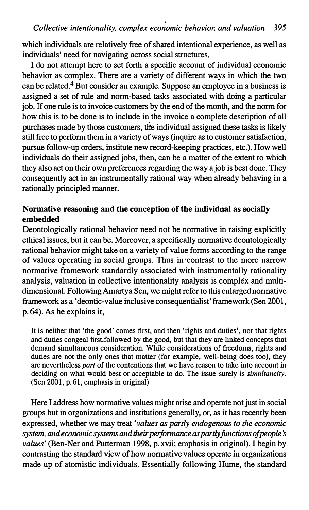#### *Collective intentionality, complex economic behavior, and valuation 395*

which individuals are relatively free of shared intentional experience, as well as individuals' need for navigating across social structures.

I do not attempt here to set forth a specific account of individual economic behavior as complex. There are a variety of different ways in which the two can be related.<sup>4</sup> But consider an example. Suppose an employee in a business is assigned a set of rule and norm-based tasks associated with doing a particular job. If one rule is to invoice customers by the end of the month, and the norm for how this is to be done is to include in the invoice a complete description of all purchases made by those customers, the individual assigned these tasks is likely still free to perform them in a variety of ways (inquire as to customer satisfaction, pursue follow-up orders, institute new record-keeping practices, etc.). How well individuals do their assigned jobs, then, can be a matter of the extent to which they also act on their own preferences regarding the way a job is best done. They consequently act in an instrumentally rational way when already behaving in a rationally principled manner.

#### **Normative reasoning and the conception of the individual as socially embedded**

Deontologically rational behavior need not be normative in raising explicitly ethical issues, but it can be. Moreover, a specifically normative deontologically rational behavior might take on a variety of value forms according to the range of values operating in social groups. Thus in·contrast to the more narrow normative framework standardly associated with instrumentally rationality analysis, valuation in collective intentionality analysis is complex and multidimensional. Following Amartya Sen, we might refer to this enlarged normative framework as a 'deontic-value inclusive consequentialist' framework (Sen 2001, p. 64). As he explains it,

**It is neither that 'the good' comes first, and then 'rights and duties', nor that rights and duties congeal first,followed by the good, but that they are linked concepts that demand simultaneous consideration. While considerations of freedoms, rights and duties are not the only ones that matter (for example, well-being does too), they are nevertheless** *part* **of the contentions that we have reason to take into account in deciding on what would best or acceptable to do. The issue surely is** *simultaneity.*  **(Sen 2001, p. 61, emphasis in original)** 

Here I address how normative values might arise and operate not just in social groups but in organizations and institutions generally, or, as it has recently been expressed, whether we may treat *'values as partly endogenous to the economic*   $s$ ystem, and economic systems and their performance as partly functions of people's *values'* (Ben-Ner and Putterman 1998, p. xvii; emphasis in original). I begin by contrasting the standard view of how normative values operate in organizations made up of atomistic individuals. Essentially following Hume, the standard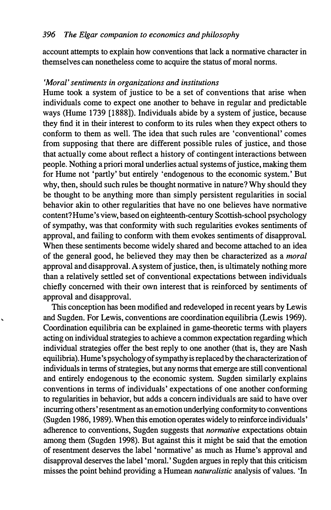account attempts to explain how conventions that lack a normative character in themselves can nonetheless come to acquire the status of moral norms.

#### *'Moral' sentiments in organizations and institutions*

Hume took a system of justice to be a set of conventions that arise when individuals come to expect one another to behave in regular and predictable ways (Hume 1739 [1888]). Individuals abide by a system of justice, because they find it in their interest to conform to its rules when they expect others to conform to them as well. The idea that such rules are 'conventional' comes from supposing that there are different possible rules of justice, and those that actually come about reflect a history of contingent interactions between people. Nothing a priori moral underlies actual systems of justice, making them for Hume not 'partly' but entirely 'endogenous to the economic system.' But why, then, should such rules be thought normative in nature? Why should they be thought to be anything more than simply persistent regularities in social behavior akin to other regularities that have no one believes have normative content? Hume's view, based on eighteenth-century Scottish-school psychology of sympathy, was that conformity with such regularities evokes sentiments of approval, and failing to conform with them evokes sentiments of disapproval. When these sentiments become widely shared and become attached to an idea of the general good, he believed they may then be characterized as a *moral*  approval and disapproval. A system of justice, then, is ultimately nothing more than a relatively settled set of conventional expectations between individuals chiefly concerned with their own interest that is reinforced by sentiments of approval and disapproval.

This conception has been modified and redeveloped in recent years by Lewis and Sugden. For Lewis, conventions are coordination equilibria (Lewis 1969). Coordination equilibria can be explained in game-theoretic terms with players acting on individual strategies to achieve a common expectation regarding which individual strategies offer the best reply to one another (that is, they are Nash equilibria). Hume's psychoiogy of sympathy is replaced by the characterization of individuals in terms of strategies, but any norms that emerge are still conventional and entirely endogenous to the economic system. Sugden similarly explains conventions in terms of individuals' expectations of one another conforming to regularities in behavior, but adds a concern individuals are said to have over incurring others' resentment as an emotion underlying conformityto conventions (Sugden 1986, 1989). When this emotion operates widely to reinforce individuals' adherence to conventions, Sugden suggests that *normative* expectations obtain among them (Sugden 1998). But against this it might be said that the emotion of resentment deserves the label 'normative' as much as Hume's approval and disapproval deserves the label 'moral.' Sugden argues in reply that this criticism misses the point behind providing a Humean *naturalistic* analysis of values. 'In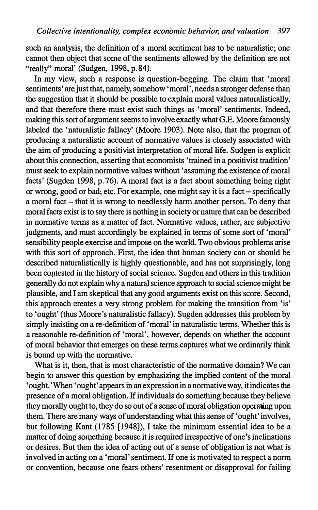such an analysis, the definition of a moral sentiment has to be naturalistic; one cannot then object that some of the sentiments allowed by the definition are not "really" moral' (Sudgen, 1998, p. 84).

In my view, such a response is question-begging. The claim that 'moral sentiments' are just that, namely, somehow 'moral', needs a stronger defense than the suggestion that it should be possible to explain moral values naturalistically, and that therefore there must exist such things as 'moral' sentiments. Indeed, making this sort of argument seems to involve exactly what G.E. Moore famously labeled the 'naturalistic fallacy' (Moore 1903). Note also, that the program of producing a naturalistic account of normative values is closely associated with the aim of producing a positivist interpretation of moral life. Sudgen is explicit about this connection, asserting that economists 'trained in a positivist tradition' must seek to explain normative values without 'assuming the existence of moral facts' (Sugden 1998, p. 76). A moral fact is a fact about something being right or wrong, good or bad; etc. For example, one might say it is a fact- specifically a moral fact – that it is wrong to needlessly harm another person. To deny that moral facts exist is to say there is nothing in society or nature that can be described in normative terms as a matter of fact. Normative values, rather, are subjective judgments, and must accordingly be explained in terms of some sort of 'moral' sensibility people exercise and impose on the world. Two obvious problems arise with this sort of approach. First, the idea that human society can or should be described naturalistically is highly questionable, and has not surprisingly, long been contested in the history of social science. Sugden and others in this tradition generally do not explain why a natural science approach to social science might be plausible, and I am skeptical that any good arguments exist on this score. Second, this approach creates a very strong problem for making the transition from 'is' to 'ought' (thus Moore's naturalistic fallacy). Sugden addresses this problem by simply insisting on a re-definition of 'moral' in naturalistic terms. Whether this is a reasonable re-definition of 'moral', however, depends on whether the account of moral behavior that emerges on these terms captures what we ordinarily think is bound up with the normative.

What is it, then, that is most characteristic of the normative domain? We can begin to answer this question by emphasizing the implied content of the moral 'ought.' When 'ought' appears in an expression in a normative way, it indicates the presence of a moral obligation. If individuals do something because they believe they morally ought to, they do so out of a sense of moral obligation operating upon them. There are many ways of understanding what this sense of 'ought' involves, but following Kant (1785 [1948]), I take the minimum essential idea to be a matter of doing something because it is required irrespective of one's inclinations or desires. But then the idea of acting out of a sense of obligation is not what is involved in acting on a 'moral' sentiment. If one is motivated to respect a norm or convention, because one fears others' resentment or disapproval for failing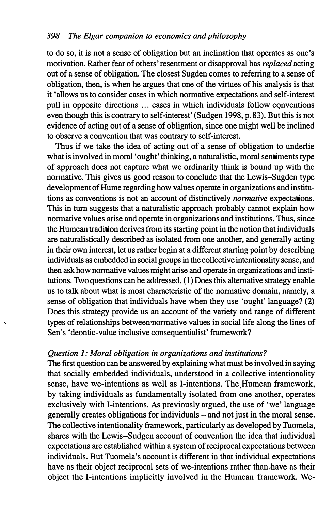to do so, it is not a sense of obligation but an inclination that operates as one's motivation. Rather fear of others' resentment or disapproval has *replaced* acting out of a sense of obligation. The closest Sugden comes to referring to a sense of obligation, then, is when he argues that one of the virtues of his analysis is that it 'allows us to consider cases in which normative expectations and self-interest pull in opposite directions ... cases in which individuals follow conventions even though this. is contrary to self-interest' (Sudgen 1998, p. 83). But this is not evidence of acting out of a sense of obligation, since one might well be inclined to observe a convention that was contrary to self-interest.

Thus if we take the idea of acting out of a sense of obligation to underlie what is involved in moral 'ought' thinking, a naturalistic, moral sentiments type of approach does not capture what we ordinarily think is bound up with the normative. This gives us good reason to conclude that the Lewis-Sugden type development of Hume regarding how values operate in organizations and institutions as conventions is not an account of distinctively *normative* expectations. This in turn suggests that a naturalistic approach probably cannot explain how normative values arise and operate in organizations and institutions. Thus, since the Humean tradition derives from its starting point in the notion that individuals are naturalistically described as isolated from one another, and generally acting in their own interest, let us rather begin at a different starting point by describing individuals as embedded in social groups in the collective intentionality sense, and then ask how normative values might arise and operate in organizations and institutions. Two questions can be addressed. (1) Does this alternative strategy enable us to talk about what is most characteristic of the normative domain, namely, a sense of obligation that individuals have when they use 'ought' language? (2) Does this strategy provide us an account of the variety and range of different types of relationships between ·normative values in social life along the lines of Sen's 'deontic-value inclusive consequentialist' framework?

#### *Question 1: Moral obligation in organizations and institutions?*

The first question can be answered by explaining what must be involved in saying that socially embedded individuals, understood in a collective intentionality sense, have we-intentions as well as I-intentions. The Humean framework, by taking individuals as fundamentally isolated from one another, operates exclusively with I-intentions. As previously argued, the use of 'we' language generally creates obligations for individuals – and not just in the moral sense. The collective intentionality framework, particularly as developed by Tuomela, shares with the Lewis-Sudgen account of convention the idea that individual expectations are established within a system of reciprocal expectations between individuals. But Tuomela's account is different in that individual expectations have as their object reciprocal sets of we-intentions rather than, have as their object the I-intentions implicitly involved in the Humean framework. We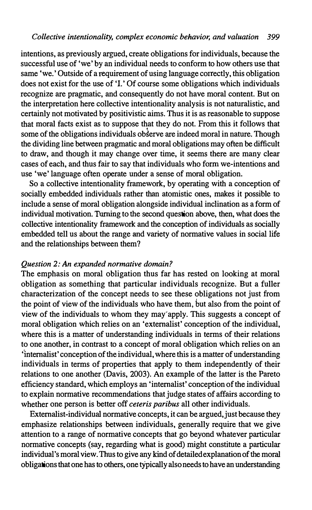intentions, as previously argued, create obligations for individuals, because the successful use of 'we' by an individual needs to conform to how others use that same 'we.' Outside of a requirement of using language correctly, this obligation does not exist for the use of 'I.' Of course some obligations which individuals recognize are pragmatic, and consequently do not have moral content. But on the interpretation here collective intentionality analysis is not naturalistic, and certainly not motivated by positivistic aims. Thus it is as reasonable to suppose that moral facts exist as to suppose that they do not. From this it follows that some of the obligations individuals ob�erve are indeed moral in nature. Though the dividing line between pragmatic and moral obligations may often be difficult to draw, and though it may change over time, it seems there are many clear cases of each, and thus fair to say that individuals who form we-intentions and use 'we' language often operate under a sense of moral obligation.

So a collective intentionality framework, by operating with a conception of socially embedded individuals rather than atomistic ones, makes it possible to include a sense of moral obligation alongside individual inclination as a form of individual motivation. Turning to the second question above, then, what does the collective intentionality framework and the conception of individuals as socially embedded tell us about the range and variety of normative values in social life and the relationships between them?

#### *Question 2: An expanded normative domain?*

The emphasis on moral obligation thus far has rested on looking at moral obligation as something that particular individuals recognize. But a fuller characterization of the concept needs to see these obligations not just from the point of view of the individuals who have them, but also from the point of view of the individuals to whom they may'apply. This suggests a concept of moral obligation which relies on an 'extemalist' conception of the individual, where this is a matter of understanding individuals in terms of their relations to one another, in contrast to a concept of moral obligation which relies on an 'internalist' conception of the individual, where this is a matter of understanding individuals in terms of properties that apply to them independently of their relations to one another (Davis, 2003). An example of the latter is the Pareto efficiency standard, which employs an 'intemalist' conception of the individual to explain normative recommendations that judge states of affairs according to whether one person is better off *ceteris paribus* all other individuals.

Extemalist-individual normative concepts, it can be argued, just because they emphasize relationships between individuals, generally require that we give attention to a range of normative concepts that go beyond whatever particular normative concepts (say, regarding what is good) might constitute a particular individual's moral view. Thus to give any kind of detailed explanation of the moral obligations that one has to others, one typically also needs to have an understanding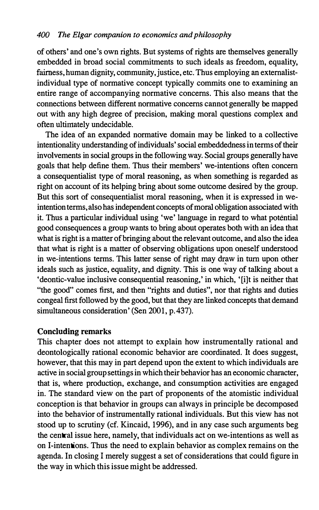of others' and one's own rights. But systems of rights are themselves generally embedded in broad social commitments to such ideals as freedom, equality, fairness, human dignity, community, justice, etc. Thus employing an externalistindividual type of normative concept typically commits one to examining an entire range of accompanying normative concerns. This also means that the connections between different normative concerns cannot generally be mapped out with any high degree of precision, making moral questions complex and often ultimately undecidable.

The idea of an expanded normative domain may be linked to a collective intentionality understanding of individuals' social embeddedness in terms of their involvements in social groups in the following way. Social groups generally have goals that help define them. Thus their members' we-intentions often concern a consequentialist type of moral reasoning, as when something is regarded as right on account of its helping bring about some outcome desired by the group. But this sort of consequentialist moral reasoning, when it is expressed in weintention terms, also has independent concepts of moral obligation associated with it. Thus a particular individual using 'we' language in regard to what potential good consequences a group wants to bring about operates both with an idea that what is right is a matter of bringing about the relevant outcome, and also the idea that what is right is a matter of observing obligations upon oneself understood in we-intentions terms. This latter sense of right may draw in turn upon other ideals such as justice, equality, and dignity. This is one way of talking about a 'deontic-value inclusive consequential reasoning,' in which, '[i]t is neither that "the good" comes first, and then "rights and duties", nor that rights and duties congeal first followed by the good, but that they are linked concepts that demand simultaneous consideration' (Sen 2001, p.437).

#### **Concluding remarks**

This chapter does not attempt to explain how instrumentally rational and deontologically rational economic behavior are coordinated. It does suggest, however, that this may in part depend upon the extent to which individuals are active in social group settings in which their behavior has an economic character, that is, where productiop, exchange, and consumption activities are engaged in. The standard view on the part of proponents of the atomistic individual conception is that behavior in groups can always in principle be decomposed into the behavior of instrumentally rational individuals. But this view has not stood up to scrutiny (cf. Kincaid, 1996), and in any case such arguments beg the central issue here, namely, that individuals act on we-intentions as well as on I-intentions. Thus the need to explain behavior as complex remains on the agenda. In closing I merely suggest a set of considerations that could figure in the way in which this issue might be addressed.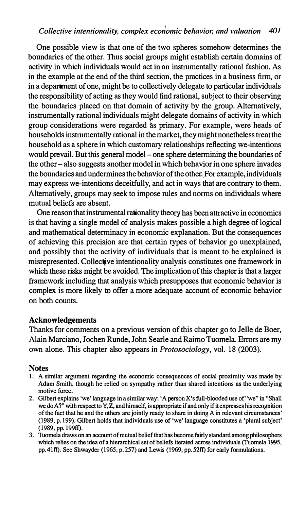#### <sup>I</sup>*Collective intentionality, complex economic behavior, and valuation 401*

One possible view is that one of the two spheres somehow determines the boundaries of the other. Thus social groups might establish certain domains of activity in which individuals would act in an instrumentally rational fashion. As in the example at the end of the third section, the practices in a business firm, or in a department of one, might be to collectively delegate to particular individuals the responsibility of acting as they would find rational, subject to their observing the boundaries placed on that domain of activity by the group. Alternatively, instrumentally rational individuals might delegate domains of activity in which group considerations were regarded �s primary. For example, were heads of households instrumentally rational in the market, they might nonetheless treat the household as a sphere in which customary relationships reflecting we-intentions would prevail. But this general model – one sphere determining the boundaries of the other – also suggests another model in which behavior in one sphere invades the boundaries and undermines the behavior of the other. For example, individuals may express we-intentions deceitfully, and act in ways that are contrary to them. Alternatively, groups may seek to impose rules and norms on individuals where mutual beliefs are absent.

One reason that instrumental rationality theory has been attractive in economics is that having a single model of analysis makes possible a high degree of logical and mathematical determinacy in economic explanation. But the consequences of achieving this precision are that certain types of behavior go unexplained, and possibly that the activity of individuals that is meant to be explained is misrepresented. Collective intentionality analysis constitutes one framework in which these risks might be avoided. The implication of this chapter is that a larger framework including that analysis which presupposes that economic behavior is complex is more likely to offer a more adequate account of economic behavior on both counts.

#### **Acknowledgements**

Thanks for comments on a previous version of this chapter go to Jelle de Boer, Alain Marciano, Jochen Runde, John Searle and Raimo Tuomela. Errors are my own alone. This chapter also appears in *Protosociology,* vol. 18 (2003).

#### **Notes**

- **1. A similar argument regarding the economic consequences of social proximity was made by Adam Smith, though he relied on sympathy rather than shared intentions as the underlying motive force.**
- **2. Gilbert explains 'we' language in a similar way: 'A person X's full-blooded use of"we" in "Shall we do A?" with respect to Y, Z, and himself, is appropriate if and only if it expresses his recognition of the fact that he and the others are jointly ready to share in doing A in relevant circumstances' (1989, p.199). Gilbert holds that individuals use of 'we' language constitutes a 'plural subject' (1989, pp.199fl).**
- **3. Tuomela draws on an account of mutual belief that has become fairly standard among philosophers which relies on the idea of a hierarchical set of beliefs iterated across individuals (Tuomela 1995, pp.4 lfl). See Shwayder (1965, p. 257) and Lewis (1969, pp. 52ft) for early formulations.**